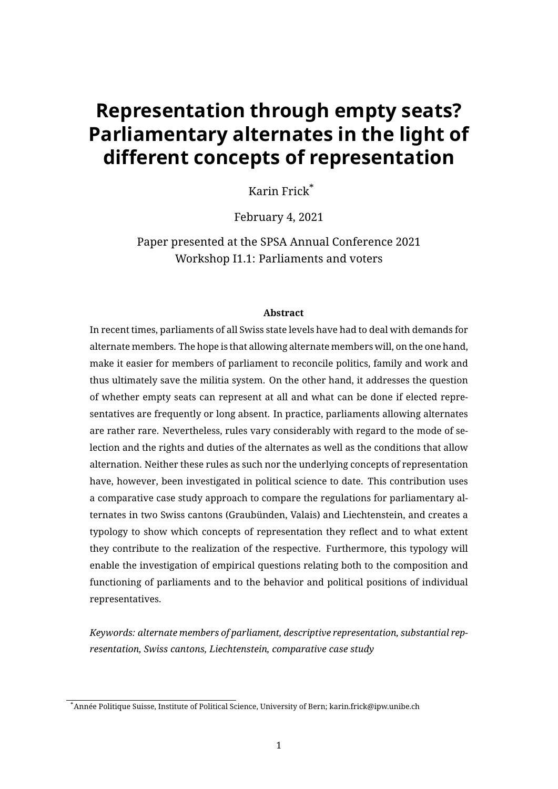# <span id="page-0-0"></span>**Representation through empty seats? Parliamentary alternates in the light of different concepts of representation**

Karin Frick\*

February 4, 2021

Paper presented at the SPSA Annual Conference 2021 Workshop I1.1: Parliaments and voters

#### **Abstract**

In recent times, parliaments of all Swiss state levels have had to deal with demands for alternate members. The hope is that allowing alternate members will, on the one hand, make it easier for members of parliament to reconcile politics, family and work and thus ultimately save the militia system. On the other hand, it addresses the question of whether empty seats can represent at all and what can be done if elected representatives are frequently or long absent. In practice, parliaments allowing alternates are rather rare. Nevertheless, rules vary considerably with regard to the mode of selection and the rights and duties of the alternates as well as the conditions that allow alternation. Neither these rules as such nor the underlying concepts of representation have, however, been investigated in political science to date. This contribution uses a comparative case study approach to compare the regulations for parliamentary alternates in two Swiss cantons (Graubünden, Valais) and Liechtenstein, and creates a typology to show which concepts of representation they reflect and to what extent they contribute to the realization of the respective. Furthermore, this typology will enable the investigation of empirical questions relating both to the composition and functioning of parliaments and to the behavior and political positions of individual representatives.

*Keywords: alternate members of parliament, descriptive representation, substantial representation, Swiss cantons, Liechtenstein, comparative case study*

<sup>\*</sup>Année Politique Suisse, Institute of Political Science, University of Bern; [karin.frick@ipw.unibe.ch](mailto:karin.frick@ipw.unibe.ch)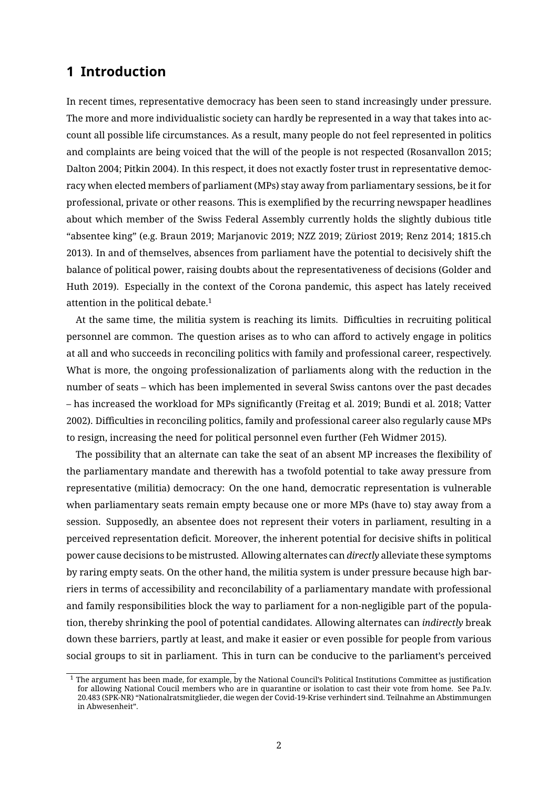## **1 Introduction**

In recent times, representative democracy has been seen to stand increasingly under pressure. The more and more individualistic society can hardly be represented in a way that takes into account all possible life circumstances. As a result, many people do not feel represented in politics and complaints are being voiced that the will of the people is not respected (Rosanvallon [2015;](#page-14-0) Dalton [2004;](#page-12-0) Pitkin [2004\)](#page-13-0). In this respect, it does not exactly foster trust in representative democracy when elected members of parliament (MPs) stay away from parliamentary sessions, be it for professional, private or other reasons. This is exemplied by the recurring newspaper headlines about which member of the Swiss Federal Assembly currently holds the slightly dubious title "absentee king" (e.g. Braun [2019;](#page-12-1) Marjanovic [2019;](#page-13-1) NZZ [2019;](#page-13-2) Züriost [2019;](#page-14-1) Renz [2014;](#page-14-2) 1815.ch [2013\)](#page-11-0). In and of themselves, absences from parliament have the potential to decisively shift the balance of political power, raising doubts about the representativeness of decisions (Golder and Huth [2019\)](#page-13-3). Especially in the context of the Corona pandemic, this aspect has lately received attention in the political debate. $1$ 

At the same time, the militia system is reaching its limits. Difficulties in recruiting political personnel are common. The question arises as to who can afford to actively engage in politics at all and who succeeds in reconciling politics with family and professional career, respectively. What is more, the ongoing professionalization of parliaments along with the reduction in the number of seats – which has been implemented in several Swiss cantons over the past decades – has increased the workload for MPs signicantly (Freitag et al. [2019;](#page-13-4) Bundi et al. [2018;](#page-12-2) Vatter [2002\)](#page-14-3). Difficulties in reconciling politics, family and professional career also regularly cause MPs to resign, increasing the need for political personnel even further (Feh Widmer [2015\)](#page-13-5).

The possibility that an alternate can take the seat of an absent MP increases the flexibility of the parliamentary mandate and therewith has a twofold potential to take away pressure from representative (militia) democracy: On the one hand, democratic representation is vulnerable when parliamentary seats remain empty because one or more MPs (have to) stay away from a session. Supposedly, an absentee does not represent their voters in parliament, resulting in a perceived representation deficit. Moreover, the inherent potential for decisive shifts in political power cause decisions to be mistrusted. Allowing alternates can *directly* alleviate these symptoms by raring empty seats. On the other hand, the militia system is under pressure because high barriers in terms of accessibility and reconcilability of a parliamentary mandate with professional and family responsibilities block the way to parliament for a non-negligible part of the population, thereby shrinking the pool of potential candidates. Allowing alternates can *indirectly* break down these barriers, partly at least, and make it easier or even possible for people from various social groups to sit in parliament. This in turn can be conducive to the parliament's perceived

 $1$  The argument has been made, for example, by the National Council's Political Institutions Committee as justification for allowing National Coucil members who are in quarantine or isolation to cast their vote from home. See Pa.Iv. 20.483 (SPK-NR) "Nationalratsmitglieder, die wegen der Covid-19-Krise verhindert sind. Teilnahme an Abstimmungen in Abwesenheit".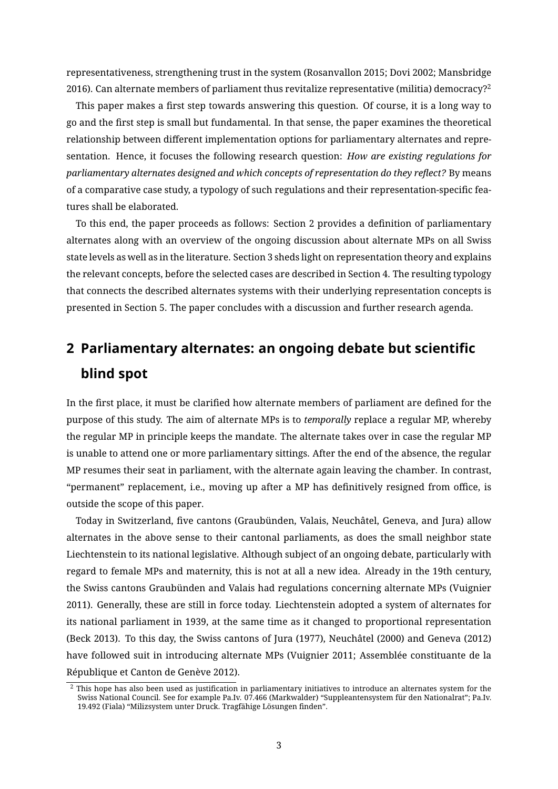representativeness, strengthening trust in the system (Rosanvallon [2015;](#page-14-0) Dovi [2002;](#page-12-3) Mansbridge [2016\)](#page-13-6). Can alternate members of parliament thus revitalize representative (militia) democracy?<sup>[2](#page-0-0)</sup>

This paper makes a first step towards answering this question. Of course, it is a long way to go and the first step is small but fundamental. In that sense, the paper examines the theoretical relationship between different implementation options for parliamentary alternates and representation. Hence, it focuses the following research question: *How are existing regulations for parliamentary alternates designed and which concepts of representation do they reflect?* By means of a comparative case study, a typology of such regulations and their representation-specific features shall be elaborated.

To this end, the paper proceeds as follows: Section 2 provides a definition of parliamentary alternates along with an overview of the ongoing discussion about alternate MPs on all Swiss state levels as well as in the literature. Section 3 sheds light on representation theory and explains the relevant concepts, before the selected cases are described in Section 4. The resulting typology that connects the described alternates systems with their underlying representation concepts is presented in Section 5. The paper concludes with a discussion and further research agenda.

## **2 Parliamentary alternates: an ongoing debate but scientific blind spot**

In the first place, it must be clarified how alternate members of parliament are defined for the purpose of this study. The aim of alternate MPs is to *temporally* replace a regular MP, whereby the regular MP in principle keeps the mandate. The alternate takes over in case the regular MP is unable to attend one or more parliamentary sittings. After the end of the absence, the regular MP resumes their seat in parliament, with the alternate again leaving the chamber. In contrast, "permanent" replacement, i.e., moving up after a MP has definitively resigned from office, is outside the scope of this paper.

Today in Switzerland, five cantons (Graubünden, Valais, Neuchâtel, Geneva, and Jura) allow alternates in the above sense to their cantonal parliaments, as does the small neighbor state Liechtenstein to its national legislative. Although subject of an ongoing debate, particularly with regard to female MPs and maternity, this is not at all a new idea. Already in the 19th century, the Swiss cantons Graubünden and Valais had regulations concerning alternate MPs (Vuignier [2011\)](#page-14-4). Generally, these are still in force today. Liechtenstein adopted a system of alternates for its national parliament in 1939, at the same time as it changed to proportional representation (Beck [2013\)](#page-12-4). To this day, the Swiss cantons of Jura (1977), Neuchâtel (2000) and Geneva (2012) have followed suit in introducing alternate MPs (Vuignier [2011;](#page-14-4) Assemblée constituante de la République et Canton de Genève [2012\)](#page-12-5).

 $2$  This hope has also been used as justification in parliamentary initiatives to introduce an alternates system for the Swiss National Council. See for example Pa.Iv. 07.466 (Markwalder) "Suppleantensystem für den Nationalrat"; Pa.Iv. 19.492 (Fiala) "Milizsystem unter Druck. Tragfähige Lösungen finden".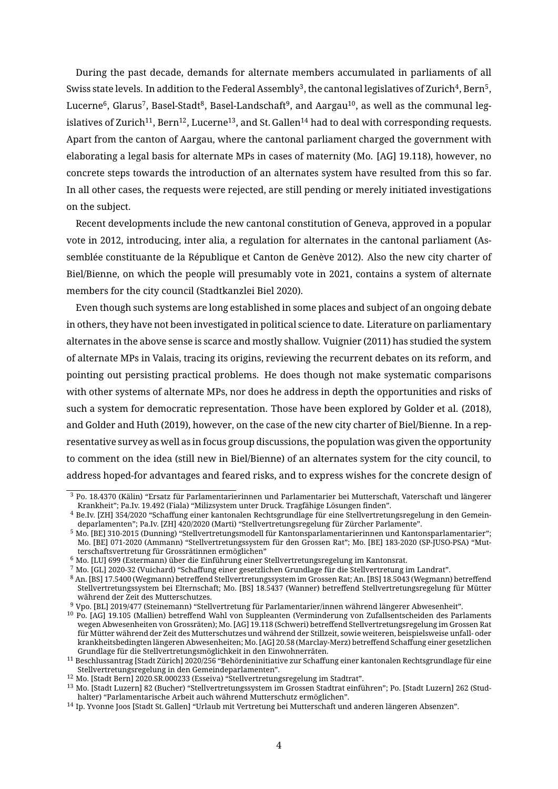During the past decade, demands for alternate members accumulated in parliaments of all Swiss state levels. In addition to the Federal Assembly $^3$  $^3$ , the cantonal legislatives of Zurich $^4$  $^4$ . Bern $^5$  $^5$ , Lucerne $\rm ^6$  $\rm ^6$ . Glarus<sup>[7](#page-0-0)</sup>. Basel-Stadt $\rm ^8$  $\rm ^8$ . Basel-Landschaft $\rm ^9$  $\rm ^9$ . and Aargau $\rm ^{10}$  $\rm ^{10}$  $\rm ^{10}$ . as well as the communal leg-islatives of Zurich<sup>[11](#page-0-0)</sup>, Bern<sup>[12](#page-0-0)</sup>, Lucerne<sup>[13](#page-0-0)</sup>, and St. Gallen<sup>[14](#page-0-0)</sup> had to deal with corresponding requests. Apart from the canton of Aargau, where the cantonal parliament charged the government with elaborating a legal basis for alternate MPs in cases of maternity (Mo. [AG] 19.118), however, no concrete steps towards the introduction of an alternates system have resulted from this so far. In all other cases, the requests were rejected, are still pending or merely initiated investigations on the subject.

Recent developments include the new cantonal constitution of Geneva, approved in a popular vote in 2012, introducing, inter alia, a regulation for alternates in the cantonal parliament (Assemblée constituante de la République et Canton de Genève [2012\)](#page-12-5). Also the new city charter of Biel/Bienne, on which the people will presumably vote in 2021, contains a system of alternate members for the city council (Stadtkanzlei Biel [2020\)](#page-14-5).

Even though such systems are long established in some places and subject of an ongoing debate in others, they have not been investigated in political science to date. Literature on parliamentary alternates in the above sense is scarce and mostly shallow. Vuignier [\(2011\)](#page-14-4) has studied the system of alternate MPs in Valais, tracing its origins, reviewing the recurrent debates on its reform, and pointing out persisting practical problems. He does though not make systematic comparisons with other systems of alternate MPs, nor does he address in depth the opportunities and risks of such a system for democratic representation. Those have been explored by Golder et al. [\(2018\)](#page-13-7), and Golder and Huth [\(2019\)](#page-13-3), however, on the case of the new city charter of Biel/Bienne. In a representative survey as well as in focus group discussions, the population was given the opportunity to comment on the idea (still new in Biel/Bienne) of an alternates system for the city council, to address hoped-for advantages and feared risks, and to express wishes for the concrete design of

<sup>3</sup> Po. 18.4370 (Kälin) "Ersatz für Parlamentarierinnen und Parlamentarier bei Mutterschaft, Vaterschaft und längerer Krankheit"; Pa.Iv. 19.492 (Fiala) "Milizsystem unter Druck. Tragfähige Lösungen finden".

<sup>4</sup> Be.Iv. [ZH] 354/2020 "Schaffung einer kantonalen Rechtsgrundlage für eine Stellvertretungsregelung in den Gemeindeparlamenten"; Pa.Iv. [ZH] 420/2020 (Marti) "Stellvertretungsregelung für Zürcher Parlamente".

<sup>5</sup> Mo. [BE] 310-2015 (Dunning) "Stellvertretungsmodell für Kantonsparlamentarierinnen und Kantonsparlamentarier"; Mo. [BE] 071-2020 (Ammann) "Stellvertretungssystem für den Grossen Rat"; Mo. [BE] 183-2020 (SP-JUSO-PSA) "Mutterschaftsvertretung für Grossrätinnen ermöglichen"

<sup>6</sup> Mo. [LU] 699 (Estermann) über die Einführung einer Stellvertretungsregelung im Kantonsrat.

<sup>7</sup> Mo. [GL] 2020-32 (Vuichard) "Schaffung einer gesetzlichen Grundlage für die Stellvertretung im Landrat".

 $^8$  An. [BS] 17.5400 (Wegmann) betreffend Stellvertretungssystem im Grossen Rat; An. [BS] 18.5043 (Wegmann) betreffend Stellvertretungssystem bei Elternschaft; Mo. [BS] 18.5437 (Wanner) betreffend Stellvertretungsregelung für Mütter während der Zeit des Mutterschutzes.

<sup>9</sup> Vpo. [BL] 2019/477 (Steinemann) "Stellvertretung für Parlamentarier/innen während längerer Abwesenheit".

 $10$  Po. [AG] 19.105 (Mallien) betreffend Wahl von Suppleanten (Verminderung von Zufallsentscheiden des Parlaments wegen Abwesenheiten von Grossräten); Mo. [AG] 19.118 (Schweri) betreend Stellvertretungsregelung im Grossen Rat für Mütter während der Zeit des Mutterschutzes und während der Stillzeit, sowie weiteren, beispielsweise unfall- oder krankheitsbedingten längeren Abwesenheiten; Mo. [AG] 20.58 (Marclay-Merz) betreffend Schaffung einer gesetzlichen Grundlage für die Stellvertretungsmöglichkeit in den Einwohnerräten.

<sup>11</sup> Beschlussantrag [Stadt Zürich] 2020/256 "Behördeninitiative zur Schaung einer kantonalen Rechtsgrundlage für eine Stellvertretungsregelung in den Gemeindeparlamenten".

<sup>12</sup> Mo. [Stadt Bern] 2020.SR.000233 (Esseiva) "Stellvertretungsregelung im Stadtrat".

<sup>13</sup> Mo. [Stadt Luzern] 82 (Bucher) "Stellvertretungssystem im Grossen Stadtrat einführen"; Po. [Stadt Luzern] 262 (Studhalter) "Parlamentarische Arbeit auch während Mutterschutz ermöglichen".

<sup>14</sup> Ip. Yvonne Joos [Stadt St. Gallen] "Urlaub mit Vertretung bei Mutterschaft und anderen längeren Absenzen".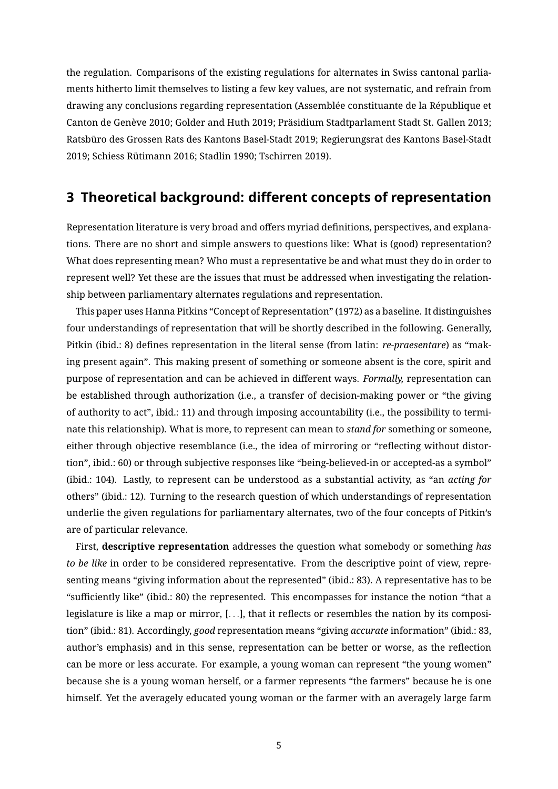the regulation. Comparisons of the existing regulations for alternates in Swiss cantonal parliaments hitherto limit themselves to listing a few key values, are not systematic, and refrain from drawing any conclusions regarding representation (Assemblée constituante de la République et Canton de Genève [2010;](#page-12-6) Golder and Huth [2019;](#page-13-3) Präsidium Stadtparlament Stadt St. Gallen [2013;](#page-13-8) Ratsbüro des Grossen Rats des Kantons Basel-Stadt [2019;](#page-13-9) Regierungsrat des Kantons Basel-Stadt [2019;](#page-14-6) Schiess Rütimann [2016;](#page-14-7) Stadlin [1990;](#page-14-8) Tschirren [2019\)](#page-14-9).

### **3 Theoretical background: different concepts of representation**

Representation literature is very broad and offers myriad definitions, perspectives, and explanations. There are no short and simple answers to questions like: What is (good) representation? What does representing mean? Who must a representative be and what must they do in order to represent well? Yet these are the issues that must be addressed when investigating the relationship between parliamentary alternates regulations and representation.

This paper uses Hanna Pitkins "Concept of Representation" [\(1972\)](#page-13-10) as a baseline. It distinguishes four understandings of representation that will be shortly described in the following. Generally, Pitkin [\(ibid.:](#page-13-10) 8) defines representation in the literal sense (from latin: *re-praesentare*) as "making present again". This making present of something or someone absent is the core, spirit and purpose of representation and can be achieved in different ways. *Formally*, representation can be established through authorization (i.e., a transfer of decision-making power or "the giving of authority to act", [ibid.:](#page-13-10) 11) and through imposing accountability (i.e., the possibility to terminate this relationship). What is more, to represent can mean to *stand for* something or someone, either through objective resemblance (i.e., the idea of mirroring or "reflecting without distortion", [ibid.:](#page-13-10) 60) or through subjective responses like "being-believed-in or accepted-as a symbol" [\(ibid.:](#page-13-10) 104). Lastly, to represent can be understood as a substantial activity, as "an *acting for* others" [\(ibid.:](#page-13-10) 12). Turning to the research question of which understandings of representation underlie the given regulations for parliamentary alternates, two of the four concepts of Pitkin's are of particular relevance.

First, **descriptive representation** addresses the question what somebody or something *has to be like* in order to be considered representative. From the descriptive point of view, representing means "giving information about the represented" [\(ibid.:](#page-13-10) 83). A representative has to be "sufficiently like" [\(ibid.:](#page-13-10) 80) the represented. This encompasses for instance the notion "that a legislature is like a map or mirror,  $[...]$ , that it reflects or resembles the nation by its composition" [\(ibid.:](#page-13-10) 81). Accordingly, *good* representation means "giving *accurate* information" [\(ibid.:](#page-13-10) 83, author's emphasis) and in this sense, representation can be better or worse, as the reflection can be more or less accurate. For example, a young woman can represent "the young women" because she is a young woman herself, or a farmer represents "the farmers" because he is one himself. Yet the averagely educated young woman or the farmer with an averagely large farm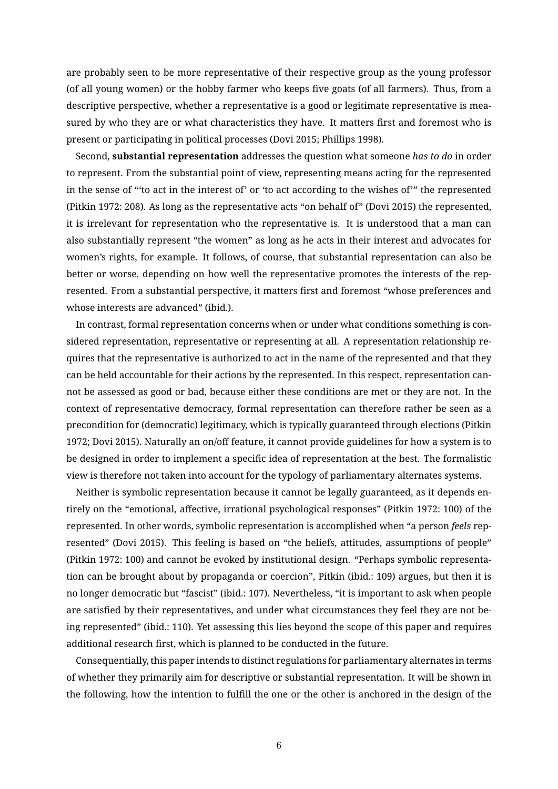are probably seen to be more representative of their respective group as the young professor (of all young women) or the hobby farmer who keeps five goats (of all farmers). Thus, from a descriptive perspective, whether a representative is a good or legitimate representative is measured by who they are or what characteristics they have. It matters first and foremost who is present or participating in political processes (Dovi [2015;](#page-12-7) Phillips [1998\)](#page-13-11).

Second, **substantial representation** addresses the question what someone *has to do* in order to represent. From the substantial point of view, representing means acting for the represented in the sense of "'to act in the interest of' or 'to act according to the wishes of'" the represented (Pitkin [1972:](#page-13-10) 208). As long as the representative acts "on behalf of" (Dovi [2015\)](#page-12-7) the represented, it is irrelevant for representation who the representative is. It is understood that a man can also substantially represent "the women" as long as he acts in their interest and advocates for women's rights, for example. It follows, of course, that substantial representation can also be better or worse, depending on how well the representative promotes the interests of the represented. From a substantial perspective, it matters first and foremost "whose preferences and whose interests are advanced" [\(ibid.\)](#page-12-7).

In contrast, formal representation concerns when or under what conditions something is considered representation, representative or representing at all. A representation relationship requires that the representative is authorized to act in the name of the represented and that they can be held accountable for their actions by the represented. In this respect, representation cannot be assessed as good or bad, because either these conditions are met or they are not. In the context of representative democracy, formal representation can therefore rather be seen as a precondition for (democratic) legitimacy, which is typically guaranteed through elections (Pitkin [1972;](#page-13-10) Dovi [2015\)](#page-12-7). Naturally an on/off feature, it cannot provide guidelines for how a system is to be designed in order to implement a specific idea of representation at the best. The formalistic view is therefore not taken into account for the typology of parliamentary alternates systems.

Neither is symbolic representation because it cannot be legally guaranteed, as it depends en-tirely on the "emotional, affective, irrational psychological responses" (Pitkin [1972:](#page-13-10) 100) of the represented. In other words, symbolic representation is accomplished when "a person *feels* represented" (Dovi [2015\)](#page-12-7). This feeling is based on "the beliefs, attitudes, assumptions of people" (Pitkin [1972:](#page-13-10) 100) and cannot be evoked by institutional design. "Perhaps symbolic representation can be brought about by propaganda or coercion", Pitkin [\(ibid.:](#page-13-10) 109) argues, but then it is no longer democratic but "fascist" [\(ibid.:](#page-13-10) 107). Nevertheless, "it is important to ask when people are satisfied by their representatives, and under what circumstances they feel they are not being represented" [\(ibid.:](#page-13-10) 110). Yet assessing this lies beyond the scope of this paper and requires additional research first, which is planned to be conducted in the future.

Consequentially, this paper intends to distinct regulations for parliamentary alternates in terms of whether they primarily aim for descriptive or substantial representation. It will be shown in the following, how the intention to fulll the one or the other is anchored in the design of the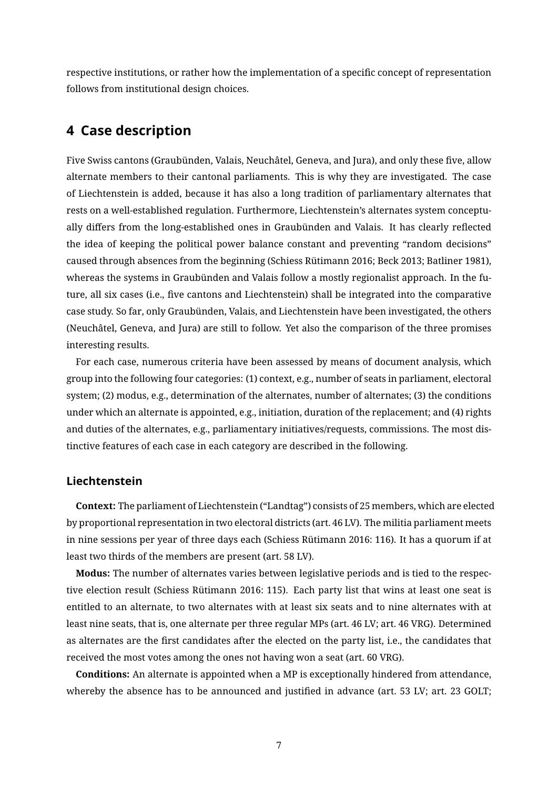respective institutions, or rather how the implementation of a specific concept of representation follows from institutional design choices.

## **4 Case description**

Five Swiss cantons (Graubünden, Valais, Neuchâtel, Geneva, and Jura), and only these five, allow alternate members to their cantonal parliaments. This is why they are investigated. The case of Liechtenstein is added, because it has also a long tradition of parliamentary alternates that rests on a well-established regulation. Furthermore, Liechtenstein's alternates system conceptually differs from the long-established ones in Graubünden and Valais. It has clearly reflected the idea of keeping the political power balance constant and preventing "random decisions" caused through absences from the beginning (Schiess Rütimann [2016;](#page-14-7) Beck [2013;](#page-12-4) Batliner [1981\)](#page-12-8), whereas the systems in Graubünden and Valais follow a mostly regionalist approach. In the future, all six cases (i.e., five cantons and Liechtenstein) shall be integrated into the comparative case study. So far, only Graubünden, Valais, and Liechtenstein have been investigated, the others (Neuchâtel, Geneva, and Jura) are still to follow. Yet also the comparison of the three promises interesting results.

For each case, numerous criteria have been assessed by means of document analysis, which group into the following four categories: (1) context, e.g., number of seats in parliament, electoral system; (2) modus, e.g., determination of the alternates, number of alternates; (3) the conditions under which an alternate is appointed, e.g., initiation, duration of the replacement; and (4) rights and duties of the alternates, e.g., parliamentary initiatives/requests, commissions. The most distinctive features of each case in each category are described in the following.

#### **Liechtenstein**

**Context:** The parliament of Liechtenstein ("Landtag") consists of 25 members, which are elected by proportional representation in two electoral districts (art. 46 [LV\)](#page-15-0). The militia parliament meets in nine sessions per year of three days each (Schiess Rütimann [2016:](#page-14-7) 116). It has a quorum if at least two thirds of the members are present (art. 58 [LV\)](#page-15-0).

**Modus:** The number of alternates varies between legislative periods and is tied to the respective election result (Schiess Rütimann [2016:](#page-14-7) 115). Each party list that wins at least one seat is entitled to an alternate, to two alternates with at least six seats and to nine alternates with at least nine seats, that is, one alternate per three regular MPs (art. 46 [LV;](#page-15-0) art. 46 [VRG\)](#page-15-1). Determined as alternates are the first candidates after the elected on the party list, i.e., the candidates that received the most votes among the ones not having won a seat (art. 60 [VRG\)](#page-15-1).

**Conditions:** An alternate is appointed when a MP is exceptionally hindered from attendance, whereby the absence has to be announced and justified in advance (art. 53 [LV;](#page-15-0) art. 23 [GOLT;](#page-15-2)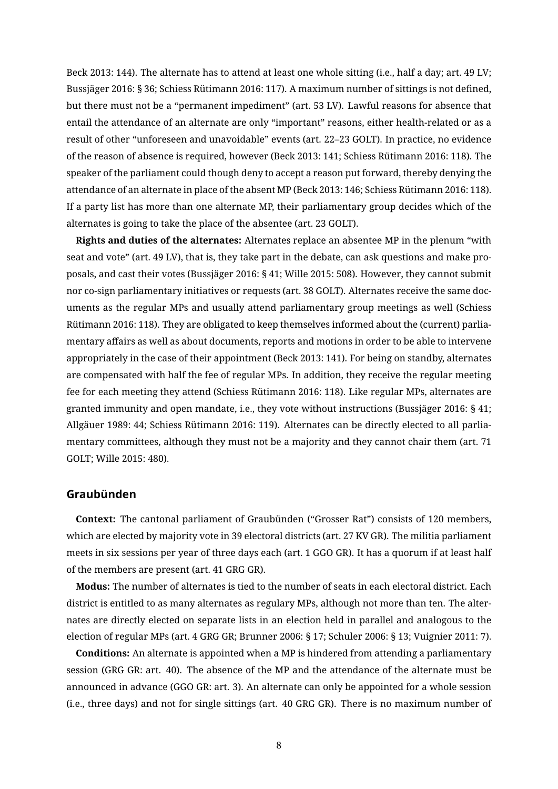Beck [2013:](#page-12-4) 144). The alternate has to attend at least one whole sitting (i.e., half a day; art. 49 [LV;](#page-15-0) Bussjäger [2016:](#page-14-7) § 36; Schiess Rütimann 2016: 117). A maximum number of sittings is not defined, but there must not be a "permanent impediment" (art. 53 [LV\)](#page-15-0). Lawful reasons for absence that entail the attendance of an alternate are only "important" reasons, either health-related or as a result of other "unforeseen and unavoidable" events (art. 22–23 [GOLT\)](#page-15-2). In practice, no evidence of the reason of absence is required, however (Beck [2013:](#page-12-4) 141; Schiess Rütimann [2016:](#page-14-7) 118). The speaker of the parliament could though deny to accept a reason put forward, thereby denying the attendance of an alternate in place of the absent MP (Beck [2013:](#page-12-4) 146; Schiess Rütimann [2016:](#page-14-7) 118). If a party list has more than one alternate MP, their parliamentary group decides which of the alternates is going to take the place of the absentee (art. 23 [GOLT\)](#page-15-2).

**Rights and duties of the alternates:** Alternates replace an absentee MP in the plenum "with seat and vote" (art. 49 [LV\)](#page-15-0), that is, they take part in the debate, can ask questions and make proposals, and cast their votes (Bussjäger [2016:](#page-12-9) § 41; Wille [2015:](#page-14-10) 508). However, they cannot submit nor co-sign parliamentary initiatives or requests (art. 38 [GOLT\)](#page-15-2). Alternates receive the same documents as the regular MPs and usually attend parliamentary group meetings as well (Schiess Rütimann [2016:](#page-14-7) 118). They are obligated to keep themselves informed about the (current) parliamentary affairs as well as about documents, reports and motions in order to be able to intervene appropriately in the case of their appointment (Beck [2013:](#page-12-4) 141). For being on standby, alternates are compensated with half the fee of regular MPs. In addition, they receive the regular meeting fee for each meeting they attend (Schiess Rütimann [2016:](#page-14-7) 118). Like regular MPs, alternates are granted immunity and open mandate, i.e., they vote without instructions (Bussjäger [2016:](#page-12-9) § 41; Allgäuer [1989:](#page-12-10) 44; Schiess Rütimann [2016:](#page-14-7) 119). Alternates can be directly elected to all parliamentary committees, although they must not be a majority and they cannot chair them (art. 71 [GOLT;](#page-15-2) Wille [2015:](#page-14-10) 480).

#### **Graubünden**

**Context:** The cantonal parliament of Graubünden ("Grosser Rat") consists of 120 members, which are elected by majority vote in 39 electoral districts (art. 27 [KV GR\)](#page-15-3). The militia parliament meets in six sessions per year of three days each (art. 1 [GGO GR\)](#page-15-4). It has a quorum if at least half of the members are present (art. 41 [GRG GR\)](#page-15-5).

**Modus:** The number of alternates is tied to the number of seats in each electoral district. Each district is entitled to as many alternates as regulary MPs, although not more than ten. The alternates are directly elected on separate lists in an election held in parallel and analogous to the election of regular MPs (art. 4 [GRG GR;](#page-15-5) Brunner [2006:](#page-12-11) § 17; Schuler [2006:](#page-14-11) § 13; Vuignier [2011:](#page-14-4) 7).

**Conditions:** An alternate is appointed when a MP is hindered from attending a parliamentary session [\(GRG GR:](#page-15-5) art. 40). The absence of the MP and the attendance of the alternate must be announced in advance [\(GGO GR:](#page-15-4) art. 3). An alternate can only be appointed for a whole session (i.e., three days) and not for single sittings (art. 40 [GRG GR\)](#page-15-5). There is no maximum number of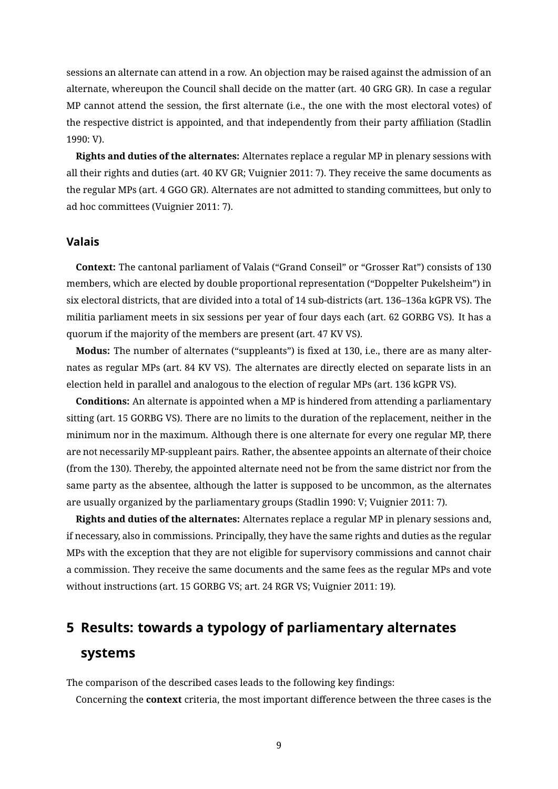sessions an alternate can attend in a row. An objection may be raised against the admission of an alternate, whereupon the Council shall decide on the matter (art. 40 [GRG GR\)](#page-15-5). In case a regular MP cannot attend the session, the first alternate (i.e., the one with the most electoral votes) of the respective district is appointed, and that independently from their party affiliation (Stadlin [1990:](#page-14-8) V).

**Rights and duties of the alternates:** Alternates replace a regular MP in plenary sessions with all their rights and duties (art. 40 [KV GR;](#page-15-3) Vuignier [2011:](#page-14-4) 7). They receive the same documents as the regular MPs (art. 4 [GGO GR\)](#page-15-4). Alternates are not admitted to standing committees, but only to ad hoc committees (Vuignier [2011:](#page-14-4) 7).

#### **Valais**

**Context:** The cantonal parliament of Valais ("Grand Conseil" or "Grosser Rat") consists of 130 members, which are elected by double proportional representation ("Doppelter Pukelsheim") in six electoral districts, that are divided into a total of 14 sub-districts (art. 136–136a [kGPR VS\)](#page-15-6). The militia parliament meets in six sessions per year of four days each (art. 62 [GORBG VS\)](#page-15-7). It has a quorum if the majority of the members are present (art. 47 [KV VS\)](#page-15-8).

**Modus:** The number of alternates ("suppleants") is fixed at 130, i.e., there are as many alternates as regular MPs (art. 84 [KV VS\)](#page-15-8). The alternates are directly elected on separate lists in an election held in parallel and analogous to the election of regular MPs (art. 136 [kGPR VS\)](#page-15-6).

**Conditions:** An alternate is appointed when a MP is hindered from attending a parliamentary sitting (art. 15 [GORBG VS\)](#page-15-7). There are no limits to the duration of the replacement, neither in the minimum nor in the maximum. Although there is one alternate for every one regular MP, there are not necessarily MP-suppleant pairs. Rather, the absentee appoints an alternate of their choice (from the 130). Thereby, the appointed alternate need not be from the same district nor from the same party as the absentee, although the latter is supposed to be uncommon, as the alternates are usually organized by the parliamentary groups (Stadlin [1990:](#page-14-8) V; Vuignier [2011:](#page-14-4) 7).

**Rights and duties of the alternates:** Alternates replace a regular MP in plenary sessions and, if necessary, also in commissions. Principally, they have the same rights and duties as the regular MPs with the exception that they are not eligible for supervisory commissions and cannot chair a commission. They receive the same documents and the same fees as the regular MPs and vote without instructions (art. 15 [GORBG VS;](#page-15-7) art. 24 [RGR VS;](#page-15-9) Vuignier [2011:](#page-14-4) 19).

## **5 Results: towards a typology of parliamentary alternates systems**

The comparison of the described cases leads to the following key findings:

Concerning the **context** criteria, the most important difference between the three cases is the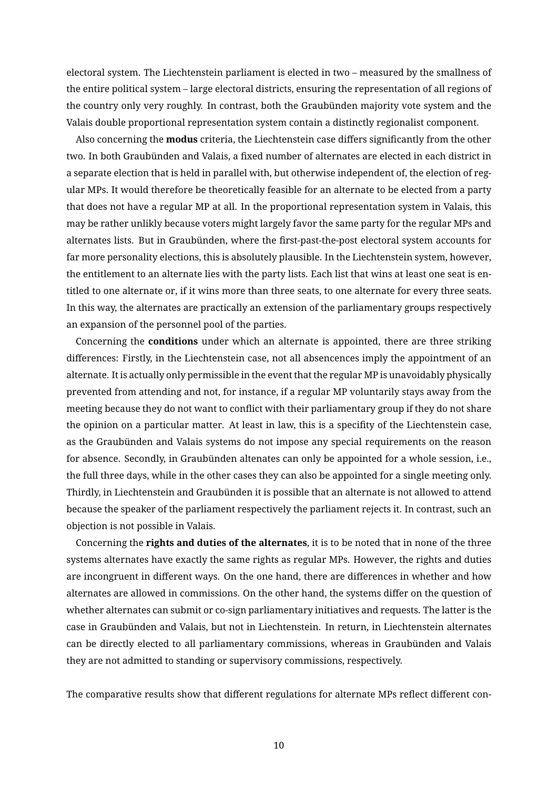electoral system. The Liechtenstein parliament is elected in two – measured by the smallness of the entire political system – large electoral districts, ensuring the representation of all regions of the country only very roughly. In contrast, both the Graubünden majority vote system and the Valais double proportional representation system contain a distinctly regionalist component.

Also concerning the **modus** criteria, the Liechtenstein case differs significantly from the other two. In both Graubünden and Valais, a fixed number of alternates are elected in each district in a separate election that is held in parallel with, but otherwise independent of, the election of regular MPs. It would therefore be theoretically feasible for an alternate to be elected from a party that does not have a regular MP at all. In the proportional representation system in Valais, this may be rather unlikly because voters might largely favor the same party for the regular MPs and alternates lists. But in Graubünden, where the first-past-the-post electoral system accounts for far more personality elections, this is absolutely plausible. In the Liechtenstein system, however, the entitlement to an alternate lies with the party lists. Each list that wins at least one seat is entitled to one alternate or, if it wins more than three seats, to one alternate for every three seats. In this way, the alternates are practically an extension of the parliamentary groups respectively an expansion of the personnel pool of the parties.

Concerning the **conditions** under which an alternate is appointed, there are three striking differences: Firstly, in the Liechtenstein case, not all absencences imply the appointment of an alternate. It is actually only permissible in the event that the regular MP is unavoidably physically prevented from attending and not, for instance, if a regular MP voluntarily stays away from the meeting because they do not want to conflict with their parliamentary group if they do not share the opinion on a particular matter. At least in law, this is a specifity of the Liechtenstein case, as the Graubünden and Valais systems do not impose any special requirements on the reason for absence. Secondly, in Graubünden altenates can only be appointed for a whole session, i.e., the full three days, while in the other cases they can also be appointed for a single meeting only. Thirdly, in Liechtenstein and Graubünden it is possible that an alternate is not allowed to attend because the speaker of the parliament respectively the parliament rejects it. In contrast, such an objection is not possible in Valais.

Concerning the **rights and duties of the alternates**, it is to be noted that in none of the three systems alternates have exactly the same rights as regular MPs. However, the rights and duties are incongruent in different ways. On the one hand, there are differences in whether and how alternates are allowed in commissions. On the other hand, the systems differ on the question of whether alternates can submit or co-sign parliamentary initiatives and requests. The latter is the case in Graubünden and Valais, but not in Liechtenstein. In return, in Liechtenstein alternates can be directly elected to all parliamentary commissions, whereas in Graubünden and Valais they are not admitted to standing or supervisory commissions, respectively.

The comparative results show that different regulations for alternate MPs reflect different con-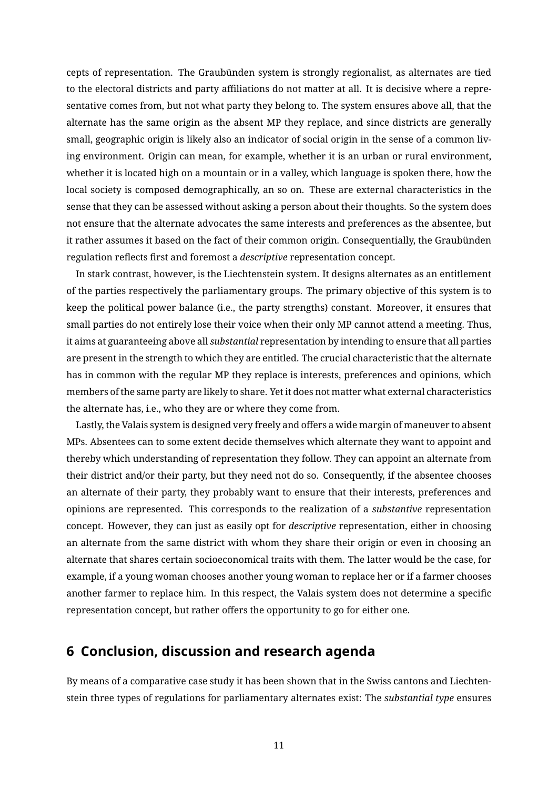cepts of representation. The Graubünden system is strongly regionalist, as alternates are tied to the electoral districts and party affiliations do not matter at all. It is decisive where a representative comes from, but not what party they belong to. The system ensures above all, that the alternate has the same origin as the absent MP they replace, and since districts are generally small, geographic origin is likely also an indicator of social origin in the sense of a common living environment. Origin can mean, for example, whether it is an urban or rural environment, whether it is located high on a mountain or in a valley, which language is spoken there, how the local society is composed demographically, an so on. These are external characteristics in the sense that they can be assessed without asking a person about their thoughts. So the system does not ensure that the alternate advocates the same interests and preferences as the absentee, but it rather assumes it based on the fact of their common origin. Consequentially, the Graubünden regulation reflects first and foremost a *descriptive* representation concept.

In stark contrast, however, is the Liechtenstein system. It designs alternates as an entitlement of the parties respectively the parliamentary groups. The primary objective of this system is to keep the political power balance (i.e., the party strengths) constant. Moreover, it ensures that small parties do not entirely lose their voice when their only MP cannot attend a meeting. Thus, it aims at guaranteeing above all *substantial* representation by intending to ensure that all parties are present in the strength to which they are entitled. The crucial characteristic that the alternate has in common with the regular MP they replace is interests, preferences and opinions, which members of the same party are likely to share. Yet it does not matter what external characteristics the alternate has, i.e., who they are or where they come from.

Lastly, the Valais system is designed very freely and offers a wide margin of maneuver to absent MPs. Absentees can to some extent decide themselves which alternate they want to appoint and thereby which understanding of representation they follow. They can appoint an alternate from their district and/or their party, but they need not do so. Consequently, if the absentee chooses an alternate of their party, they probably want to ensure that their interests, preferences and opinions are represented. This corresponds to the realization of a *substantive* representation concept. However, they can just as easily opt for *descriptive* representation, either in choosing an alternate from the same district with whom they share their origin or even in choosing an alternate that shares certain socioeconomical traits with them. The latter would be the case, for example, if a young woman chooses another young woman to replace her or if a farmer chooses another farmer to replace him. In this respect, the Valais system does not determine a specific representation concept, but rather offers the opportunity to go for either one.

## **6 Conclusion, discussion and research agenda**

By means of a comparative case study it has been shown that in the Swiss cantons and Liechtenstein three types of regulations for parliamentary alternates exist: The *substantial type* ensures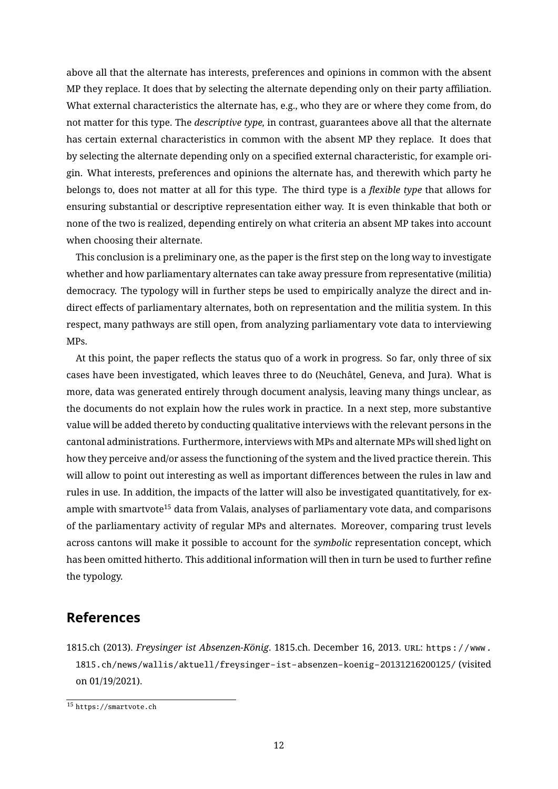above all that the alternate has interests, preferences and opinions in common with the absent MP they replace. It does that by selecting the alternate depending only on their party affiliation. What external characteristics the alternate has, e.g., who they are or where they come from, do not matter for this type. The *descriptive type,* in contrast, guarantees above all that the alternate has certain external characteristics in common with the absent MP they replace. It does that by selecting the alternate depending only on a specified external characteristic, for example origin. What interests, preferences and opinions the alternate has, and therewith which party he belongs to, does not matter at all for this type. The third type is a *flexible type* that allows for ensuring substantial or descriptive representation either way. It is even thinkable that both or none of the two is realized, depending entirely on what criteria an absent MP takes into account when choosing their alternate.

This conclusion is a preliminary one, as the paper is the first step on the long way to investigate whether and how parliamentary alternates can take away pressure from representative (militia) democracy. The typology will in further steps be used to empirically analyze the direct and indirect effects of parliamentary alternates, both on representation and the militia system. In this respect, many pathways are still open, from analyzing parliamentary vote data to interviewing MPs.

At this point, the paper reflects the status quo of a work in progress. So far, only three of six cases have been investigated, which leaves three to do (Neuchâtel, Geneva, and Jura). What is more, data was generated entirely through document analysis, leaving many things unclear, as the documents do not explain how the rules work in practice. In a next step, more substantive value will be added thereto by conducting qualitative interviews with the relevant persons in the cantonal administrations. Furthermore, interviews with MPs and alternate MPs will shed light on how they perceive and/or assess the functioning of the system and the lived practice therein. This will allow to point out interesting as well as important differences between the rules in law and rules in use. In addition, the impacts of the latter will also be investigated quantitatively, for ex-ample with smartvote<sup>[15](#page-0-0)</sup> data from Valais, analyses of parliamentary vote data, and comparisons of the parliamentary activity of regular MPs and alternates. Moreover, comparing trust levels across cantons will make it possible to account for the *symbolic* representation concept, which has been omitted hitherto. This additional information will then in turn be used to further refine the typology.

### **References**

<span id="page-11-0"></span>1815.ch (2013). *Freysinger ist Absenzen-König*. 1815.ch. December 16, 2013. url: [https://www.](https://www.1815.ch/news/wallis/aktuell/freysinger-ist-absenzen-koenig-20131216200125/) [1815.ch/news/wallis/aktuell/freysinger-ist-absenzen-koenig-20131216200125/](https://www.1815.ch/news/wallis/aktuell/freysinger-ist-absenzen-koenig-20131216200125/) (visited on 01/19/2021).

<sup>15</sup> <https://smartvote.ch>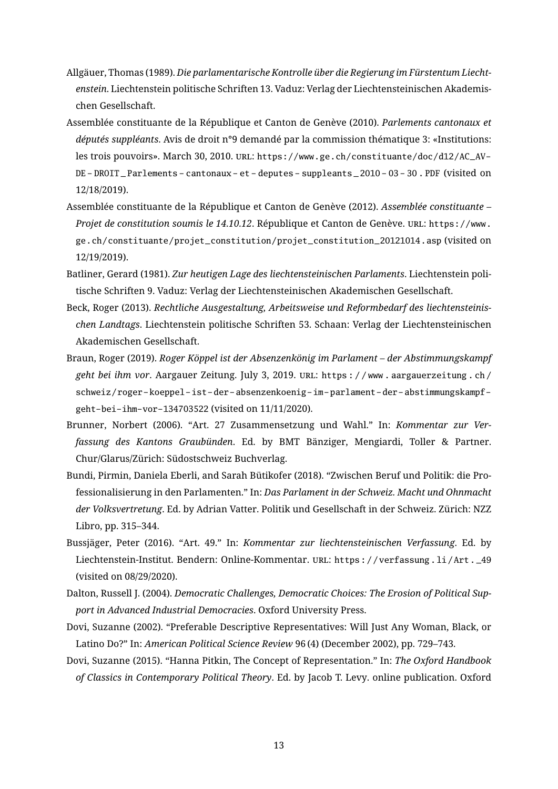- <span id="page-12-10"></span>Allgäuer, Thomas (1989). *Die parlamentarische Kontrolle über die Regierung im Fürstentum Liechtenstein*. Liechtenstein politische Schriften 13. Vaduz: Verlag der Liechtensteinischen Akademischen Gesellschaft.
- <span id="page-12-6"></span>Assemblée constituante de la République et Canton de Genève (2010). *Parlements cantonaux et députés suppléants*. Avis de droit n°9 demandé par la commission thématique 3: «Institutions: les trois pouvoirs». March 30, 2010. URL: [https://www.ge.ch/constituante/doc/d12/AC\\_AV-](https://www.ge.ch/constituante/doc/d12/AC_AV-DE-DROIT_Parlements-cantonaux-et-deputes-suppleants_2010-03-30.PDF)[DE - DROIT \\_ Parlements - cantonaux - et - deputes - suppleants \\_ 2010 - 03 - 30 . PDF](https://www.ge.ch/constituante/doc/d12/AC_AV-DE-DROIT_Parlements-cantonaux-et-deputes-suppleants_2010-03-30.PDF) (visited on 12/18/2019).
- <span id="page-12-5"></span>Assemblée constituante de la République et Canton de Genève (2012). *Assemblée constituante – Projet de constitution soumis le 14.10.12*. République et Canton de Genève. URL: [https://www.](https://www.ge.ch/constituante/projet_constitution/projet_constitution_20121014.asp) [ge.ch/constituante/projet\\_constitution/projet\\_constitution\\_20121014.asp](https://www.ge.ch/constituante/projet_constitution/projet_constitution_20121014.asp) (visited on 12/19/2019).
- <span id="page-12-8"></span>Batliner, Gerard (1981). *Zur heutigen Lage des liechtensteinischen Parlaments*. Liechtenstein politische Schriften 9. Vaduz: Verlag der Liechtensteinischen Akademischen Gesellschaft.
- <span id="page-12-4"></span>Beck, Roger (2013). *Rechtliche Ausgestaltung, Arbeitsweise und Reformbedarf des liechtensteinischen Landtags*. Liechtenstein politische Schriften 53. Schaan: Verlag der Liechtensteinischen Akademischen Gesellschaft.
- <span id="page-12-1"></span>Braun, Roger (2019). *Roger Köppel ist der Absenzenkönig im Parlament – der Abstimmungskampf geht bei ihm vor*. Aargauer Zeitung. July 3, 2019. url: [https : / / www . aargauerzeitung . ch /](https://www.aargauerzeitung.ch/schweiz/roger-koeppel-ist-der-absenzenkoenig-im-parlament-der-abstimmungskampf-geht-bei-ihm-vor-134703522) [schweiz/roger- koeppel- ist- der- absenzenkoenig- im- parlament- der- abstimmungskampf](https://www.aargauerzeitung.ch/schweiz/roger-koeppel-ist-der-absenzenkoenig-im-parlament-der-abstimmungskampf-geht-bei-ihm-vor-134703522)[geht-bei-ihm-vor-134703522](https://www.aargauerzeitung.ch/schweiz/roger-koeppel-ist-der-absenzenkoenig-im-parlament-der-abstimmungskampf-geht-bei-ihm-vor-134703522) (visited on 11/11/2020).
- <span id="page-12-11"></span>Brunner, Norbert (2006). "Art. 27 Zusammensetzung und Wahl." In: *Kommentar zur Verfassung des Kantons Graubünden*. Ed. by BMT Bänziger, Mengiardi, Toller & Partner. Chur/Glarus/Zürich: Südostschweiz Buchverlag.
- <span id="page-12-2"></span>Bundi, Pirmin, Daniela Eberli, and Sarah Bütikofer (2018). "Zwischen Beruf und Politik: die Professionalisierung in den Parlamenten." In: *Das Parlament in der Schweiz. Macht und Ohnmacht der Volksvertretung*. Ed. by Adrian Vatter. Politik und Gesellschaft in der Schweiz. Zürich: NZZ Libro, pp. 315–344.
- <span id="page-12-9"></span>Bussjäger, Peter (2016). "Art. 49." In: *Kommentar zur liechtensteinischen Verfassung*. Ed. by Liechtenstein-Institut. Bendern: Online-Kommentar. url: [https : / / verfassung . li / Art . \\_49](https://verfassung.li/Art._49) (visited on 08/29/2020).
- <span id="page-12-0"></span>Dalton, Russell J. (2004). *Democratic Challenges, Democratic Choices: The Erosion of Political Support in Advanced Industrial Democracies*. Oxford University Press.
- <span id="page-12-3"></span>Dovi, Suzanne (2002). "Preferable Descriptive Representatives: Will Just Any Woman, Black, or Latino Do?" In: *American Political Science Review* 96 (4) (December 2002), pp. 729–743.
- <span id="page-12-7"></span>Dovi, Suzanne (2015). "Hanna Pitkin, The Concept of Representation." In: *The Oxford Handbook of Classics in Contemporary Political Theory*. Ed. by Jacob T. Levy. online publication. Oxford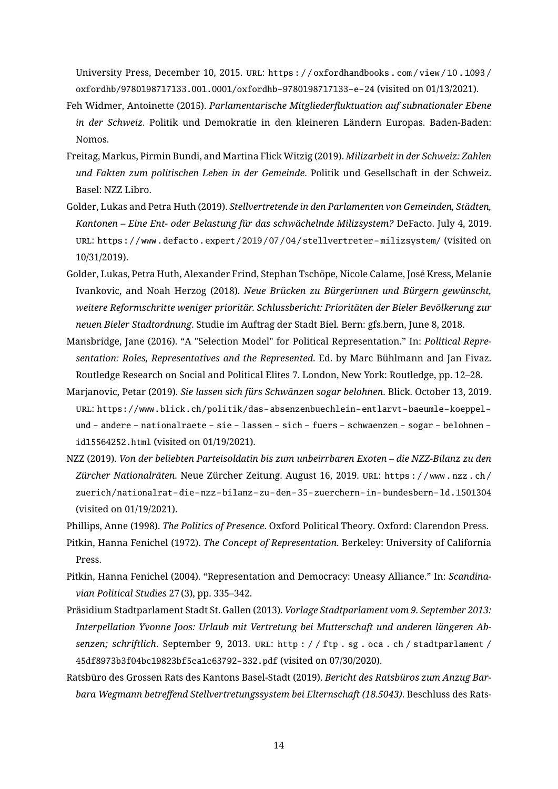University Press, December 10, 2015. URL: https://oxfordhandbooks.com/view/10.1093/ [oxfordhb/9780198717133.001.0001/oxfordhb-9780198717133-e-24](https://oxfordhandbooks.com/view/10.1093/oxfordhb/9780198717133.001.0001/oxfordhb-9780198717133-e-24) (visited on 01/13/2021).

- <span id="page-13-5"></span>Feh Widmer, Antoinette (2015). *Parlamentarische Mitgliederuktuation auf subnationaler Ebene in der Schweiz*. Politik und Demokratie in den kleineren Ländern Europas. Baden-Baden: Nomos.
- <span id="page-13-4"></span>Freitag, Markus, Pirmin Bundi, and Martina Flick Witzig (2019). *Milizarbeit in der Schweiz: Zahlen und Fakten zum politischen Leben in der Gemeinde*. Politik und Gesellschaft in der Schweiz. Basel: NZZ Libro.
- <span id="page-13-3"></span>Golder, Lukas and Petra Huth (2019). *Stellvertretende in den Parlamenten von Gemeinden, Städten, Kantonen – Eine Ent- oder Belastung für das schwächelnde Milizsystem?* DeFacto. July 4, 2019. url: [https://www.defacto.expert/2019/07/04/stellvertreter- milizsystem/](https://www.defacto.expert/2019/07/04/stellvertreter-milizsystem/) (visited on 10/31/2019).
- <span id="page-13-7"></span>Golder, Lukas, Petra Huth, Alexander Frind, Stephan Tschöpe, Nicole Calame, José Kress, Melanie Ivankovic, and Noah Herzog (2018). *Neue Brücken zu Bürgerinnen und Bürgern gewünscht, weitere Reformschritte weniger prioritär. Schlussbericht: Prioritäten der Bieler Bevölkerung zur neuen Bieler Stadtordnung*. Studie im Auftrag der Stadt Biel. Bern: gfs.bern, June 8, 2018.
- <span id="page-13-6"></span>Mansbridge, Jane (2016). "A "Selection Model" for Political Representation." In: *Political Representation: Roles, Representatives and the Represented*. Ed. by Marc Bühlmann and Jan Fivaz. Routledge Research on Social and Political Elites 7. London, New York: Routledge, pp. 12–28.
- <span id="page-13-1"></span>Marjanovic, Petar (2019). *Sie lassen sich fürs Schwänzen sogar belohnen*. Blick. October 13, 2019. url: [https://www.blick.ch/politik/das-absenzenbuechlein-entlarvt-baeumle-koeppel](https://www.blick.ch/politik/das-absenzenbuechlein-entlarvt-baeumle-koeppel-und-andere-nationalraete-sie-lassen-sich-fuers-schwaenzen-sogar-belohnen-id15564252.html)[und - andere - nationalraete - sie - lassen - sich - fuers - schwaenzen - sogar - belohnen](https://www.blick.ch/politik/das-absenzenbuechlein-entlarvt-baeumle-koeppel-und-andere-nationalraete-sie-lassen-sich-fuers-schwaenzen-sogar-belohnen-id15564252.html)  [id15564252.html](https://www.blick.ch/politik/das-absenzenbuechlein-entlarvt-baeumle-koeppel-und-andere-nationalraete-sie-lassen-sich-fuers-schwaenzen-sogar-belohnen-id15564252.html) (visited on 01/19/2021).
- <span id="page-13-2"></span>NZZ (2019). *Von der beliebten Parteisoldatin bis zum unbeirrbaren Exoten – die NZZ-Bilanz zu den Zürcher Nationalräten*. Neue Zürcher Zeitung. August 16, 2019. url: [https : / / www . nzz . ch /](https://www.nzz.ch/zuerich/nationalrat-die-nzz-bilanz-zu-den-35-zuerchern-in-bundesbern-ld.1501304) [zuerich/nationalrat-die-nzz-bilanz-zu-den-35-zuerchern-in-bundesbern-ld.1501304](https://www.nzz.ch/zuerich/nationalrat-die-nzz-bilanz-zu-den-35-zuerchern-in-bundesbern-ld.1501304) (visited on 01/19/2021).

<span id="page-13-11"></span>Phillips, Anne (1998). *The Politics of Presence*. Oxford Political Theory. Oxford: Clarendon Press.

- <span id="page-13-10"></span>Pitkin, Hanna Fenichel (1972). *The Concept of Representation*. Berkeley: University of California Press.
- <span id="page-13-0"></span>Pitkin, Hanna Fenichel (2004). "Representation and Democracy: Uneasy Alliance." In: *Scandinavian Political Studies* 27 (3), pp. 335–342.
- <span id="page-13-8"></span>Präsidium Stadtparlament Stadt St. Gallen (2013). *Vorlage Stadtparlament vom 9. September 2013: Interpellation Yvonne Joos: Urlaub mit Vertretung bei Mutterschaft und anderen längeren Absenzen; schriftlich*. September 9, 2013. url: [http : / / ftp . sg . oca . ch / stadtparlament /](http://ftp.sg.oca.ch/stadtparlament/45df8973b3f04bc19823bf5ca1c63792-332.pdf) [45df8973b3f04bc19823bf5ca1c63792-332.pdf](http://ftp.sg.oca.ch/stadtparlament/45df8973b3f04bc19823bf5ca1c63792-332.pdf) (visited on 07/30/2020).
- <span id="page-13-9"></span>Ratsbüro des Grossen Rats des Kantons Basel-Stadt (2019). *Bericht des Ratsbüros zum Anzug Barbara Wegmann betreffend Stellvertretungssystem bei Elternschaft (18.5043)*. Beschluss des Rats-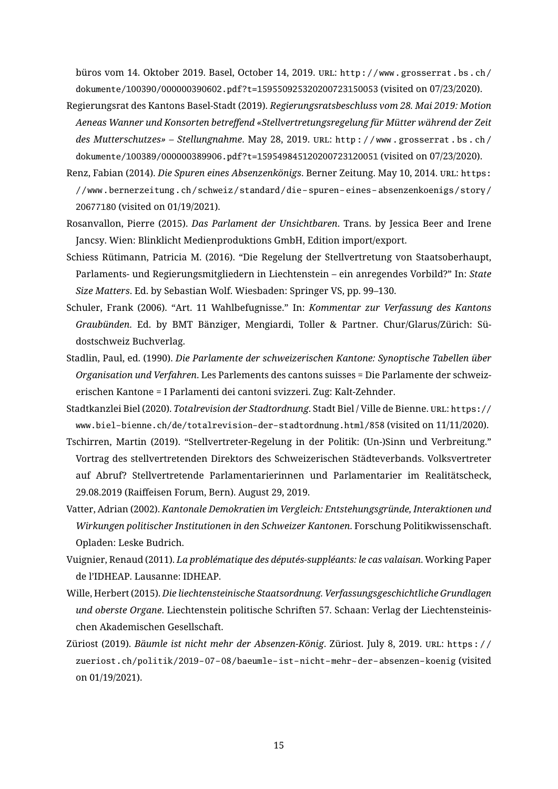büros vom 14. Oktober 2019. Basel, October 14, 2019. URL: [http://www.grosserrat.bs.ch/](http://www.grosserrat.bs.ch/dokumente/100390/000000390602.pdf?t=159550925320200723150053) [dokumente/100390/000000390602.pdf?t=159550925320200723150053](http://www.grosserrat.bs.ch/dokumente/100390/000000390602.pdf?t=159550925320200723150053) (visited on 07/23/2020).

- <span id="page-14-6"></span>Regierungsrat des Kantons Basel-Stadt (2019). *Regierungsratsbeschluss vom 28. Mai 2019: Motion* Aeneas Wanner und Konsorten betreffend «Stellvertretungsregelung für Mütter während der Zeit *des Mutterschutzes» – Stellungnahme*. May 28, 2019. url: [http : / / www . grosserrat . bs . ch /](http://www.grosserrat.bs.ch/dokumente/100389/000000389906.pdf?t=159549845120200723120051) [dokumente/100389/000000389906.pdf?t=159549845120200723120051](http://www.grosserrat.bs.ch/dokumente/100389/000000389906.pdf?t=159549845120200723120051) (visited on 07/23/2020).
- <span id="page-14-2"></span>Renz, Fabian (2014). *Die Spuren eines Absenzenkönigs*. Berner Zeitung. May 10, 2014. url: [https:](https://www.bernerzeitung.ch/schweiz/standard/die-spuren-eines-absenzenkoenigs/story/20677180) [//www.bernerzeitung.ch/schweiz/standard/die- spuren- eines- absenzenkoenigs/story/](https://www.bernerzeitung.ch/schweiz/standard/die-spuren-eines-absenzenkoenigs/story/20677180) [20677180](https://www.bernerzeitung.ch/schweiz/standard/die-spuren-eines-absenzenkoenigs/story/20677180) (visited on 01/19/2021).
- <span id="page-14-0"></span>Rosanvallon, Pierre (2015). *Das Parlament der Unsichtbaren*. Trans. by Jessica Beer and Irene Jancsy. Wien: Blinklicht Medienproduktions GmbH, Edition import/export.
- <span id="page-14-7"></span>Schiess Rütimann, Patricia M. (2016). "Die Regelung der Stellvertretung von Staatsoberhaupt, Parlaments- und Regierungsmitgliedern in Liechtenstein – ein anregendes Vorbild?" In: *State Size Matters*. Ed. by Sebastian Wolf. Wiesbaden: Springer VS, pp. 99–130.
- <span id="page-14-11"></span>Schuler, Frank (2006). "Art. 11 Wahlbefugnisse." In: *Kommentar zur Verfassung des Kantons Graubünden*. Ed. by BMT Bänziger, Mengiardi, Toller & Partner. Chur/Glarus/Zürich: Südostschweiz Buchverlag.
- <span id="page-14-8"></span>Stadlin, Paul, ed. (1990). *Die Parlamente der schweizerischen Kantone: Synoptische Tabellen über Organisation und Verfahren*. Les Parlements des cantons suisses = Die Parlamente der schweizerischen Kantone = I Parlamenti dei cantoni svizzeri. Zug: Kalt-Zehnder.
- <span id="page-14-5"></span>Stadtkanzlei Biel (2020). *Totalrevision der Stadtordnung*. Stadt Biel / Ville de Bienne. url: [https://](https://www.biel-bienne.ch/de/totalrevision-der-stadtordnung.html/858) [www.biel-bienne.ch/de/totalrevision-der-stadtordnung.html/858](https://www.biel-bienne.ch/de/totalrevision-der-stadtordnung.html/858) (visited on 11/11/2020).
- <span id="page-14-9"></span>Tschirren, Martin (2019). "Stellvertreter-Regelung in der Politik: (Un-)Sinn und Verbreitung." Vortrag des stellvertretenden Direktors des Schweizerischen Städteverbands. Volksvertreter auf Abruf? Stellvertretende Parlamentarierinnen und Parlamentarier im Realitätscheck, 29.08.2019 (Raiffeisen Forum, Bern). August 29, 2019.
- <span id="page-14-3"></span>Vatter, Adrian (2002). *Kantonale Demokratien im Vergleich: Entstehungsgründe, Interaktionen und Wirkungen politischer Institutionen in den Schweizer Kantonen*. Forschung Politikwissenschaft. Opladen: Leske Budrich.
- <span id="page-14-4"></span>Vuignier, Renaud (2011). *La problématique des députés-suppléants: le cas valaisan*. Working Paper de l'IDHEAP. Lausanne: IDHEAP.
- <span id="page-14-10"></span>Wille, Herbert (2015). *Die liechtensteinische Staatsordnung. Verfassungsgeschichtliche Grundlagen und oberste Organe*. Liechtenstein politische Schriften 57. Schaan: Verlag der Liechtensteinischen Akademischen Gesellschaft.
- <span id="page-14-1"></span>Züriost (2019). *Bäumle ist nicht mehr der Absenzen-König*. Züriost. July 8, 2019. url: [https : / /](https://zueriost.ch/politik/2019-07-08/baeumle-ist-nicht-mehr-der-absenzen-koenig) [zueriost.ch/politik/2019-07-08/baeumle-ist-nicht-mehr-der-absenzen-koenig](https://zueriost.ch/politik/2019-07-08/baeumle-ist-nicht-mehr-der-absenzen-koenig) (visited on 01/19/2021).